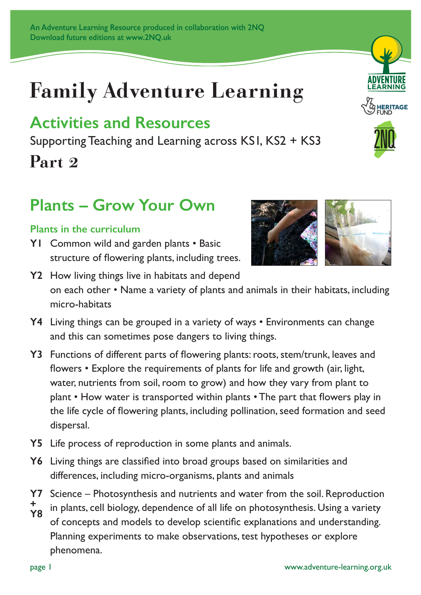# **Family Adventure Learning**

### **Activities and Resources**

Supporting Teaching and Learning across KS1, KS2 + KS3

### **Part 2**

### **Plants – Grow Your Own**

#### **Plants in the curriculum**

**Y1** Common wild and garden plants • Basic structure of flowering plants, including trees.



ROUTE 2 LOGO, **28 / 09**

**EARNING** 

- **Y2** How living things live in habitats and depend on each other • Name a variety of plants and animals in their habitats, including micro-habitats
- **Y4** Living things can be grouped in a variety of ways Environments can change and this can sometimes pose dangers to living things.
- **Y3** Functions of different parts of flowering plants: roots, stem/trunk, leaves and flowers • Explore the requirements of plants for life and growth (air, light, water, nutrients from soil, room to grow) and how they vary from plant to plant • How water is transported within plants • The part that flowers play in the life cycle of flowering plants, including pollination, seed formation and seed dispersal.
- **Y5** Life process of reproduction in some plants and animals.
- **Y6** Living things are classified into broad groups based on similarities and differences, including micro-organisms, plants and animals
- **Y7** Science Photosynthesis and nutrients and water from the soil. Reproduction
- in plants, cell biology, dependence of all life on photosynthesis. Using a variety of concepts and models to develop scientific explanations and understanding. Planning experiments to make observations, test hypotheses or explore phenomena. **+ Y8**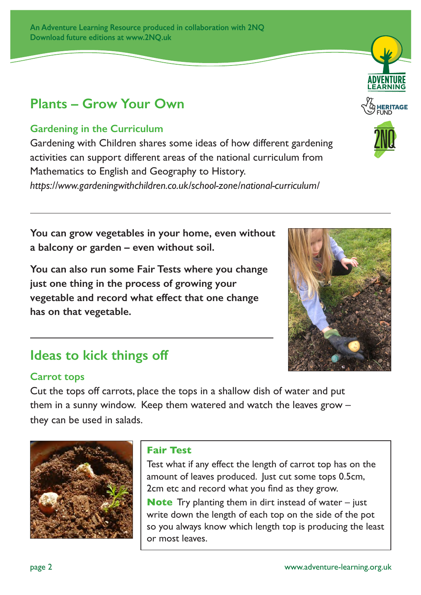### **Plants – Grow Your Own**

#### **Gardening in the Curriculum**

Gardening with Children shares some ideas of how different gardening activities can support different areas of the national curriculum from Mathematics to English and Geography to History. *https://www.gardeningwithchildren.co.uk/school-zone/national-curriculum/*

**You can grow vegetables in your home, even without a balcony or garden – even without soil.** 

**You can also run some Fair Tests where you change just one thing in the process of growing your vegetable and record what effect that one change has on that vegetable.**

### **Ideas to kick things off**

#### **Carrot tops**

Cut the tops off carrots, place the tops in a shallow dish of water and put them in a sunny window. Keep them watered and watch the leaves grow – they can be used in salads.



#### **Fair Test**

Test what if any effect the length of carrot top has on the amount of leaves produced. Just cut some tops 0.5cm, 2cm etc and record what you find as they grow.

**Note** Try planting them in dirt instead of water – just write down the length of each top on the side of the pot so you always know which length top is producing the least or most leaves.



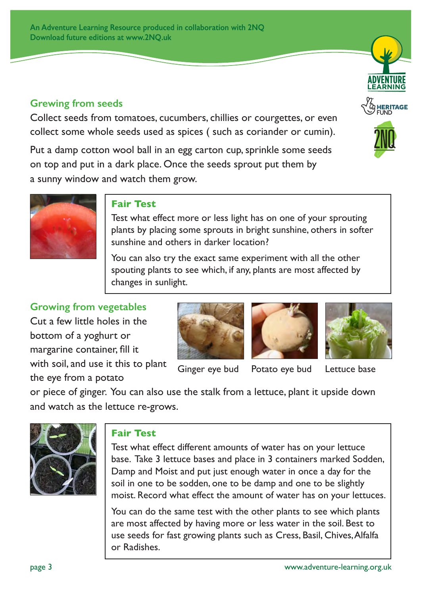#### **Grewing from seeds**

Collect seeds from tomatoes, cucumbers, chillies or courgettes, or even collect some whole seeds used as spices ( such as coriander or cumin).

Put a damp cotton wool ball in an egg carton cup, sprinkle some seeds on top and put in a dark place. Once the seeds sprout put them by a sunny window and watch them grow.





#### **Fair Test**

Test what effect more or less light has on one of your sprouting plants by placing some sprouts in bright sunshine, others in softer sunshine and others in darker location?

You can also try the exact same experiment with all the other spouting plants to see which, if any, plants are most affected by changes in sunlight.

**Growing from vegetables**

Cut a few little holes in the bottom of a yoghurt or margarine container, fill it with soil, and use it this to plant the eye from a potato



Ginger eye bud Potato eye bud Lettuce base



or piece of ginger. You can also use the stalk from a lettuce, plant it upside down and watch as the lettuce re-grows.



#### **Fair Test**

Test what effect different amounts of water has on your lettuce base. Take 3 lettuce bases and place in 3 containers marked Sodden, Damp and Moist and put just enough water in once a day for the soil in one to be sodden, one to be damp and one to be slightly moist. Record what effect the amount of water has on your lettuces.

You can do the same test with the other plants to see which plants are most affected by having more or less water in the soil. Best to use seeds for fast growing plants such as Cress, Basil, Chives, Alfalfa or Radishes.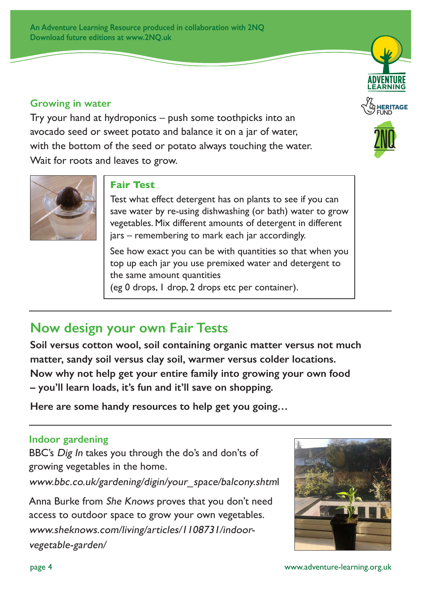**An Adventure Learning Resource produced in collaboration with 2NQ Download future editions at www.2NQ.uk**

#### **Growing in water**

Try your hand at hydroponics – push some toothpicks into an avocado seed or sweet potato and balance it on a jar of water, with the bottom of the seed or potato always touching the water. Wait for roots and leaves to grow.



#### **Fair Test**

Test what effect detergent has on plants to see if you can save water by re-using dishwashing (or bath) water to grow vegetables. Mix different amounts of detergent in different jars – remembering to mark each jar accordingly.

See how exact you can be with quantities so that when you top up each jar you use premixed water and detergent to the same amount quantities (eg 0 drops, 1 drop, 2 drops etc per container).

### **Now design your own Fair Tests**

**Soil versus cotton wool, soil containing organic matter versus not much matter, sandy soil versus clay soil, warmer versus colder locations. Now why not help get your entire family into growing your own food – you'll learn loads, it's fun and it'll save on shopping.** 

**Here are some handy resources to help get you going…**

#### **Indoor gardening**

BBC's Dig In takes you through the do's and don'ts of growing vegetables in the home.

www.bbc.co.uk/gardening/digin/your\_space/balcony.shtml

Anna Burke from She Knows proves that you don't need access to outdoor space to grow your own vegetables. www.sheknows.com/living/articles/1108731/indoorvegetable-garden/



ROUTE 2 LOGO, **28 / 09**

**ADVENTURE LEARNING** CRYSTAL PALACE PARK

**HERITAGE**